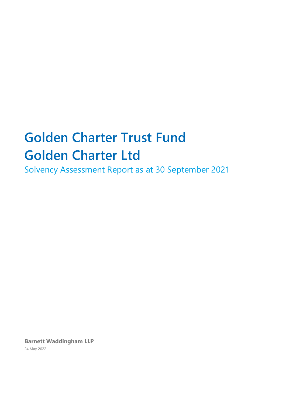# **Golden Charter Trust Fund Golden Charter Ltd**

Solvency Assessment Report as at 30 September 2021

**Barnett Waddingham LLP** 24 May 2022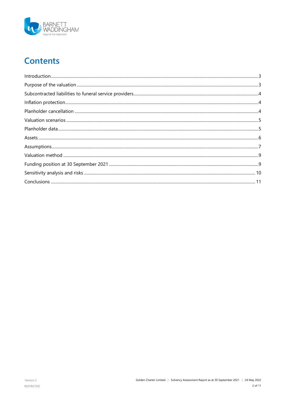

# **Contents**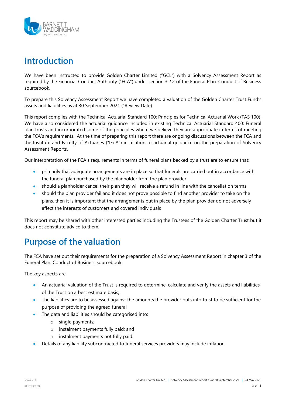

## <span id="page-2-0"></span>**Introduction**

We have been instructed to provide Golden Charter Limited ("GCL") with a Solvency Assessment Report as required by the Financial Conduct Authority ("FCA") under section 3.2.2 of the Funeral Plan: Conduct of Business sourcebook.

To prepare this Solvency Assessment Report we have completed a valuation of the Golden Charter Trust Fund's assets and liabilities as at 30 September 2021 ("Review Date).

This report complies with the Technical Actuarial Standard 100: Principles for Technical Actuarial Work (TAS 100). We have also considered the actuarial guidance included in existing Technical Actuarial Standard 400: Funeral plan trusts and incorporated some of the principles where we believe they are appropriate in terms of meeting the FCA's requirements. At the time of preparing this report there are ongoing discussions between the FCA and the Institute and Faculty of Actuaries ("IFoA") in relation to actuarial guidance on the preparation of Solvency Assessment Reports.

Our interpretation of the FCA's requirements in terms of funeral plans backed by a trust are to ensure that:

- primarily that adequate arrangements are in place so that funerals are carried out in accordance with the funeral plan purchased by the planholder from the plan provider
- should a planholder cancel their plan they will receive a refund in line with the cancellation terms
- should the plan provider fail and it does not prove possible to find another provider to take on the plans, then it is important that the arrangements put in place by the plan provider do not adversely affect the interests of customers and covered individuals

This report may be shared with other interested parties including the Trustees of the Golden Charter Trust but it does not constitute advice to them.

# <span id="page-2-1"></span>**Purpose of the valuation**

The FCA have set out their requirements for the preparation of a Solvency Assessment Report in chapter 3 of the Funeral Plan: Conduct of Business sourcebook.

The key aspects are

- An actuarial valuation of the Trust is required to determine, calculate and verify the assets and liabilities of the Trust on a best estimate basis;
- The liabilities are to be assessed against the amounts the provider puts into trust to be sufficient for the purpose of providing the agreed funeral
- The data and liabilities should be categorised into:
	- o single payments;
	- o instalment payments fully paid; and
	- o instalment payments not fully paid.
- Details of any liability subcontracted to funeral services providers may include inflation.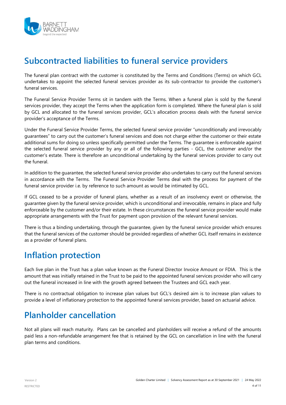

### <span id="page-3-0"></span>**Subcontracted liabilities to funeral service providers**

The funeral plan contract with the customer is constituted by the Terms and Conditions (Terms) on which GCL undertakes to appoint the selected funeral services provider as its sub-contractor to provide the customer's funeral services.

The Funeral Service Provider Terms sit in tandem with the Terms. When a funeral plan is sold by the funeral services provider, they accept the Terms when the application form is completed. Where the funeral plan is sold by GCL and allocated to the funeral services provider, GCL's allocation process deals with the funeral service provider's acceptance of the Terms.

Under the Funeral Service Provider Terms, the selected funeral service provider "unconditionally and irrevocably guarantees" to carry out the customer's funeral services and does not charge either the customer or their estate additional sums for doing so unless specifically permitted under the Terms. The guarantee is enforceable against the selected funeral service provider by any or all of the following parties - GCL, the customer and/or the customer's estate. There is therefore an unconditional undertaking by the funeral services provider to carry out the funeral.

In addition to the guarantee, the selected funeral service provider also undertakes to carry out the funeral services in accordance with the Terms. The Funeral Service Provider Terms deal with the process for payment of the funeral service provider i.e. by reference to such amount as would be intimated by GCL.

If GCL ceased to be a provider of funeral plans, whether as a result of an insolvency event or otherwise, the guarantee given by the funeral service provider, which is unconditional and irrevocable, remains in place and fully enforceable by the customer and/or their estate. In these circumstances the funeral service provider would make appropriate arrangements with the Trust for payment upon provision of the relevant funeral services.

There is thus a binding undertaking, through the guarantee, given by the funeral service provider which ensures that the funeral services of the customer should be provided regardless of whether GCL itself remains in existence as a provider of funeral plans.

### <span id="page-3-1"></span>**Inflation protection**

Each live plan in the Trust has a plan value known as the Funeral Director Invoice Amount or FDIA. This is the amount that was initially retained in the Trust to be paid to the appointed funeral services provider who will carry out the funeral increased in line with the growth agreed between the Trustees and GCL each year.

There is no contractual obligation to increase plan values but GCL's desired aim is to increase plan values to provide a level of inflationary protection to the appointed funeral services provider, based on actuarial advice.

### <span id="page-3-2"></span>**Planholder cancellation**

Not all plans will reach maturity. Plans can be cancelled and planholders will receive a refund of the amounts paid less a non-refundable arrangement fee that is retained by the GCL on cancellation in line with the funeral plan terms and conditions.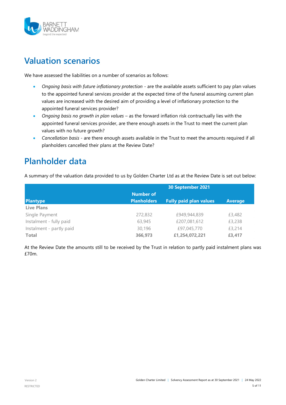

### <span id="page-4-0"></span>**Valuation scenarios**

We have assessed the liabilities on a number of scenarios as follows:

- *Ongoing basis with future inflationary protection* are the available assets sufficient to pay plan values to the appointed funeral services provider at the expected time of the funeral assuming current plan values are increased with the desired aim of providing a level of inflationary protection to the appointed funeral services provider?
- *Ongoing basis no growth in plan values* as the forward inflation risk contractually lies with the appointed funeral services provider, are there enough assets in the Trust to meet the current plan values with no future growth?
- *Cancellation basis* are there enough assets available in the Trust to meet the amounts required if all planholders cancelled their plans at the Review Date?

### <span id="page-4-1"></span>**Planholder data**

A summary of the valuation data provided to us by Golden Charter Ltd as at the Review Date is set out below:

|                          | 30 September 2021  |                               |                |
|--------------------------|--------------------|-------------------------------|----------------|
|                          | <b>Number of</b>   |                               |                |
| <b>Plantype</b>          | <b>Planholders</b> | <b>Fully paid plan values</b> | <b>Average</b> |
| <b>Live Plans</b>        |                    |                               |                |
| Single Payment           | 272,832            | £949,944,839                  | £3,482         |
| Instalment - fully paid  | 63,945             | £207,081,612                  | £3,238         |
| Instalment - partly paid | 30,196             | £97,045,770                   | £3,214         |
| <b>Total</b>             | 366,973            | £1,254,072,221                | £3,417         |

At the Review Date the amounts still to be received by the Trust in relation to partly paid instalment plans was £70m.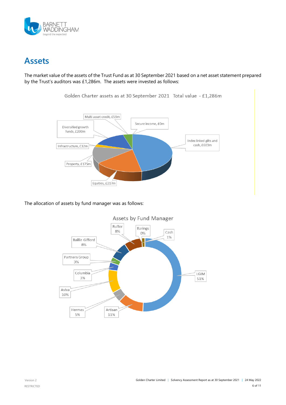

### <span id="page-5-0"></span>**Assets**

The market value of the assets of the Trust Fund as at 30 September 2021 based on a net asset statement prepared by the Trust's auditors was £1,286m. The assets were invested as follows:



Golden Charter assets as at 30 September 2021 Total value - £1,286m

The allocation of assets by fund manager was as follows:

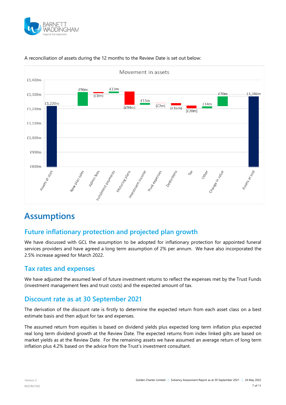



#### A reconciliation of assets during the 12 months to the Review Date is set out below:

### <span id="page-6-0"></span>**Assumptions**

### **Future inflationary protection and projected plan growth**

We have discussed with GCL the assumption to be adopted for inflationary protection for appointed funeral services providers and have agreed a long term assumption of 2% per annum. We have also incorporated the 2.5% increase agreed for March 2022.

### **Tax rates and expenses**

We have adjusted the assumed level of future investment returns to reflect the expenses met by the Trust Funds (investment management fees and trust costs) and the expected amount of tax.

### **Discount rate as at 30 September 2021**

The derivation of the discount rate is firstly to determine the expected return from each asset class on a best estimate basis and then adjust for tax and expenses.

The assumed return from equities is based on dividend yields plus expected long term inflation plus expected real long term dividend growth at the Review Date. The expected returns from index linked gilts are based on market yields as at the Review Date. For the remaining assets we have assumed an average return of long term inflation plus 4.2% based on the advice from the Trust's investment consultant.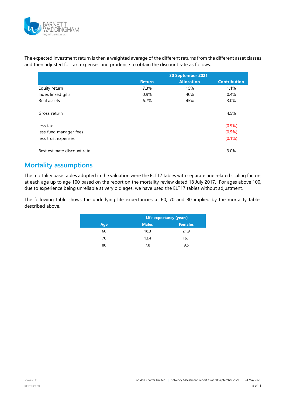

The expected investment return is then a weighted average of the different returns from the different asset classes and then adjusted for tax, expenses and prudence to obtain the discount rate as follows:

|                             | 30 September 2021 |                   |                     |
|-----------------------------|-------------------|-------------------|---------------------|
|                             | <b>Return</b>     | <b>Allocation</b> | <b>Contribution</b> |
| Equity return               | 7.3%              | 15%               | 1.1%                |
| Index linked gilts          | 0.9%              | 40%               | 0.4%                |
| Real assets                 | 6.7%              | 45%               | 3.0%                |
| Gross return                |                   |                   | 4.5%                |
| less tax                    |                   |                   | $(0.9\%)$           |
| less fund manager fees      |                   |                   | $(0.5\%)$           |
| less trust expenses         |                   |                   | $(0.1\%)$           |
| Best estimate discount rate |                   |                   | 3.0%                |

### **Mortality assumptions**

The mortality base tables adopted in the valuation were the ELT17 tables with separate age related scaling factors at each age up to age 100 based on the report on the mortality review dated 18 July 2017. For ages above 100, due to experience being unreliable at very old ages, we have used the ELT17 tables without adjustment.

The following table shows the underlying life expectancies at 60, 70 and 80 implied by the mortality tables described above.

|     | Life expectancy (years) |                |  |
|-----|-------------------------|----------------|--|
| Age | <b>Males</b>            | <b>Females</b> |  |
| 60  | 18.3                    | 21.9           |  |
| 70  | 13.4                    | $\sim$<br>16.1 |  |
| 80  | 7.8                     | $\sim$<br>9.5  |  |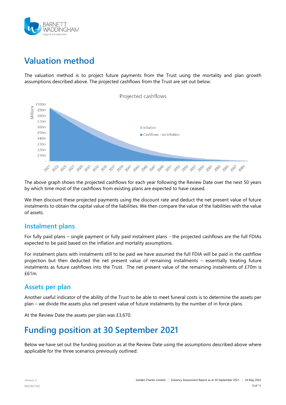

# <span id="page-8-0"></span>**Valuation method**

The valuation method is to project future payments from the Trust using the mortality and plan growth assumptions described above. The projected cashflows from the Trust are set out below.



The above graph shows the projected cashflows for each year following the Review Date over the next 50 years by which time most of the cashflows from existing plans are expected to have ceased.

We then discount these projected payments using the discount rate and deduct the net present value of future instalments to obtain the capital value of the liabilities. We then compare the value of the liabilities with the value of assets.

### **Instalment plans**

For fully paid plans – single payment or fully paid instalment plans - the projected cashflows are the full FDIAs expected to be paid based on the inflation and mortality assumptions.

For instalment plans with instalments still to be paid we have assumed the full FDIA will be paid in the cashflow projection but then deducted the net present value of remaining instalments – essentially treating future instalments as future cashflows into the Trust. The net present value of the remaining instalments of £70m is £61m.

### **Assets per plan**

Another useful indicator of the ability of the Trust to be able to meet funeral costs is to determine the assets per plan – we divide the assets plus net present value of future instalments by the number of in force plans.

At the Review Date the assets per plan was £3,670.

### <span id="page-8-1"></span>**Funding position at 30 September 2021**

Below we have set out the funding position as at the Review Date using the assumptions described above where applicable for the three scenarios previously outlined: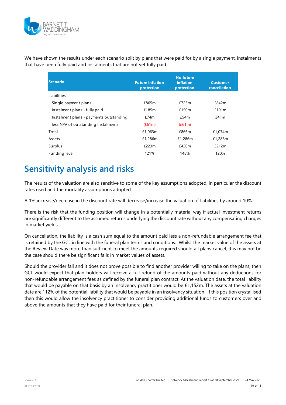

We have shown the results under each scenario split by plans that were paid for by a single payment, instalments that have been fully paid and instalments that are not yet fully paid.

| <b>Scenario</b>                         | <b>Future inflation</b><br>protection | <b>No future</b><br><b>inflation</b><br>protection | <b>Customer</b><br><b>cancellation</b> |
|-----------------------------------------|---------------------------------------|----------------------------------------------------|----------------------------------------|
| Liabilities                             |                                       |                                                    |                                        |
| Single payment plans                    | £865m                                 | £723m                                              | £842m                                  |
| Instalment plans - fully paid           | £185m                                 | £150m                                              | £191m                                  |
| Instalment plans - payments outstanding | £74m                                  | £54m                                               | £41m                                   |
| less NPV of outstanding Instalments     | (E61m)                                | (E61m)                                             |                                        |
| Total                                   | £1,063m                               | £866m                                              | £1,074m                                |
| Assets                                  | £1,286m                               | £1,286m                                            | £1,286m                                |
| Surplus                                 | £223m                                 | £420m                                              | £212m                                  |
| Funding level                           | 121%                                  | 148%                                               | 120%                                   |

# <span id="page-9-0"></span>**Sensitivity analysis and risks**

The results of the valuation are also sensitive to some of the key assumptions adopted, in particular the discount rates used and the mortality assumptions adopted.

A 1% increase/decrease in the discount rate will decrease/increase the valuation of liabilities by around 10%.

There is the risk that the funding position will change in a potentially material way if actual investment returns are significantly different to the assumed returns underlying the discount rate without any compensating changes in market yields.

On cancellation, the liability is a cash sum equal to the amount paid less a non-refundable arrangement fee that is retained by the GCL in line with the funeral plan terms and conditions. Whilst the market value of the assets at the Review Date was more than sufficient to meet the amounts required should all plans cancel, this may not be the case should there be significant falls in market values of assets.

Should the provider fail and it does not prove possible to find another provider willing to take on the plans, then GCL would expect that plan-holders will receive a full refund of the amounts paid without any deductions for non-refundable arrangement fees as defined by the funeral plan contract. At the valuation date, the total liability that would be payable on that basis by an insolvency practitioner would be  $£1,152m$ . The assets at the valuation date are 112% of the potential liability that would be payable in an insolvency situation. If this position crystallised then this would allow the insolvency practitioner to consider providing additional funds to customers over and above the amounts that they have paid for their funeral plan.